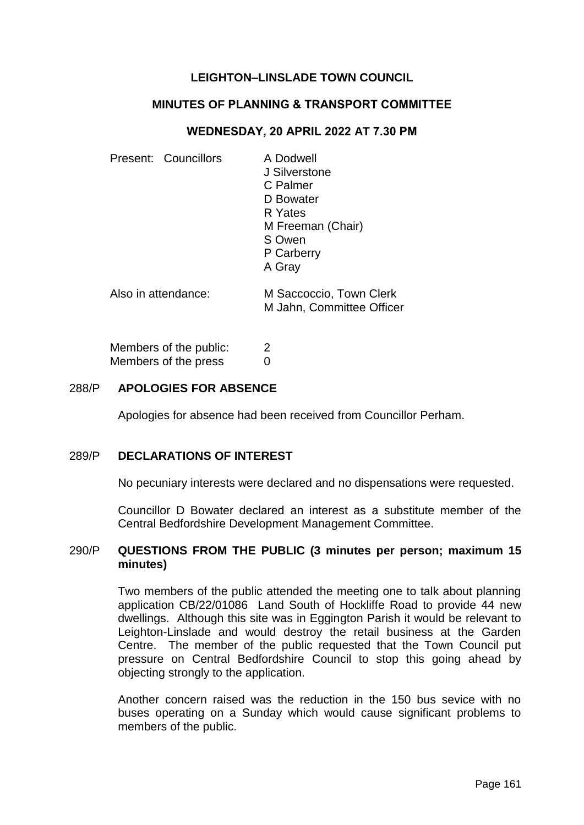# **LEIGHTON–LINSLADE TOWN COUNCIL**

## **MINUTES OF PLANNING & TRANSPORT COMMITTEE**

### **WEDNESDAY, 20 APRIL 2022 AT 7.30 PM**

| Present: Councillors   | A Dodwell<br>J Silverstone<br>C Palmer<br>D Bowater<br>R Yates<br>M Freeman (Chair)<br>S Owen<br>P Carberry<br>A Gray |
|------------------------|-----------------------------------------------------------------------------------------------------------------------|
| Also in attendance:    | M Saccoccio, Town Clerk<br>M Jahn, Committee Officer                                                                  |
| Members of the public: | 2                                                                                                                     |

#### 288/P **APOLOGIES FOR ABSENCE**

Members of the press 0

Apologies for absence had been received from Councillor Perham.

## 289/P **DECLARATIONS OF INTEREST**

No pecuniary interests were declared and no dispensations were requested.

Councillor D Bowater declared an interest as a substitute member of the Central Bedfordshire Development Management Committee.

#### 290/P **QUESTIONS FROM THE PUBLIC (3 minutes per person; maximum 15 minutes)**

Two members of the public attended the meeting one to talk about planning application CB/22/01086 Land South of Hockliffe Road to provide 44 new dwellings. Although this site was in Eggington Parish it would be relevant to Leighton-Linslade and would destroy the retail business at the Garden Centre. The member of the public requested that the Town Council put pressure on Central Bedfordshire Council to stop this going ahead by objecting strongly to the application.

Another concern raised was the reduction in the 150 bus sevice with no buses operating on a Sunday which would cause significant problems to members of the public.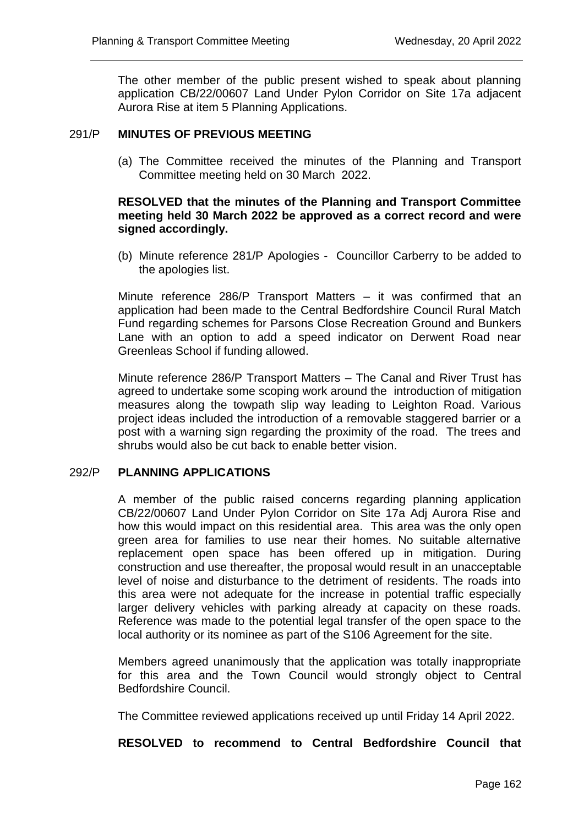The other member of the public present wished to speak about planning application CB/22/00607 Land Under Pylon Corridor on Site 17a adjacent Aurora Rise at item 5 Planning Applications.

## 291/P **MINUTES OF PREVIOUS MEETING**

(a) The Committee received the minutes of the Planning and Transport Committee meeting held on 30 March 2022.

# **RESOLVED that the minutes of the Planning and Transport Committee meeting held 30 March 2022 be approved as a correct record and were signed accordingly.**

(b) Minute reference 281/P Apologies - Councillor Carberry to be added to the apologies list.

Minute reference 286/P Transport Matters – it was confirmed that an application had been made to the Central Bedfordshire Council Rural Match Fund regarding schemes for Parsons Close Recreation Ground and Bunkers Lane with an option to add a speed indicator on Derwent Road near Greenleas School if funding allowed.

Minute reference 286/P Transport Matters – The Canal and River Trust has agreed to undertake some scoping work around the introduction of mitigation measures along the towpath slip way leading to Leighton Road. Various project ideas included the introduction of a removable staggered barrier or a post with a warning sign regarding the proximity of the road. The trees and shrubs would also be cut back to enable better vision.

#### 292/P **PLANNING APPLICATIONS**

A member of the public raised concerns regarding planning application CB/22/00607 Land Under Pylon Corridor on Site 17a Adj Aurora Rise and how this would impact on this residential area. This area was the only open green area for families to use near their homes. No suitable alternative replacement open space has been offered up in mitigation. During construction and use thereafter, the proposal would result in an unacceptable level of noise and disturbance to the detriment of residents. The roads into this area were not adequate for the increase in potential traffic especially larger delivery vehicles with parking already at capacity on these roads. Reference was made to the potential legal transfer of the open space to the local authority or its nominee as part of the S106 Agreement for the site.

Members agreed unanimously that the application was totally inappropriate for this area and the Town Council would strongly object to Central Bedfordshire Council.

The Committee reviewed applications received up until Friday 14 April 2022.

#### **RESOLVED to recommend to Central Bedfordshire Council that**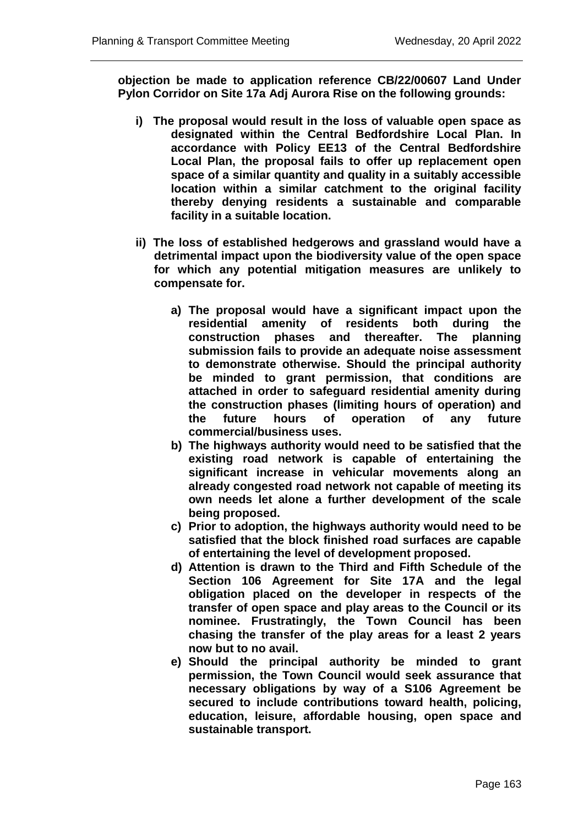**objection be made to application reference CB/22/00607 Land Under Pylon Corridor on Site 17a Adj Aurora Rise on the following grounds:**

- **i) The proposal would result in the loss of valuable open space as designated within the Central Bedfordshire Local Plan. In accordance with Policy EE13 of the Central Bedfordshire Local Plan, the proposal fails to offer up replacement open space of a similar quantity and quality in a suitably accessible location within a similar catchment to the original facility thereby denying residents a sustainable and comparable facility in a suitable location.**
- **ii) The loss of established hedgerows and grassland would have a detrimental impact upon the biodiversity value of the open space for which any potential mitigation measures are unlikely to compensate for.** 
	- **a) The proposal would have a significant impact upon the residential amenity of residents both during the construction phases and thereafter. The planning submission fails to provide an adequate noise assessment to demonstrate otherwise. Should the principal authority be minded to grant permission, that conditions are attached in order to safeguard residential amenity during the construction phases (limiting hours of operation) and the future hours of operation of any future commercial/business uses.**
	- **b) The highways authority would need to be satisfied that the existing road network is capable of entertaining the significant increase in vehicular movements along an already congested road network not capable of meeting its own needs let alone a further development of the scale being proposed.**
	- **c) Prior to adoption, the highways authority would need to be satisfied that the block finished road surfaces are capable of entertaining the level of development proposed.**
	- **d) Attention is drawn to the Third and Fifth Schedule of the Section 106 Agreement for Site 17A and the legal obligation placed on the developer in respects of the transfer of open space and play areas to the Council or its nominee. Frustratingly, the Town Council has been chasing the transfer of the play areas for a least 2 years now but to no avail.**
	- **e) Should the principal authority be minded to grant permission, the Town Council would seek assurance that necessary obligations by way of a S106 Agreement be secured to include contributions toward health, policing, education, leisure, affordable housing, open space and sustainable transport.**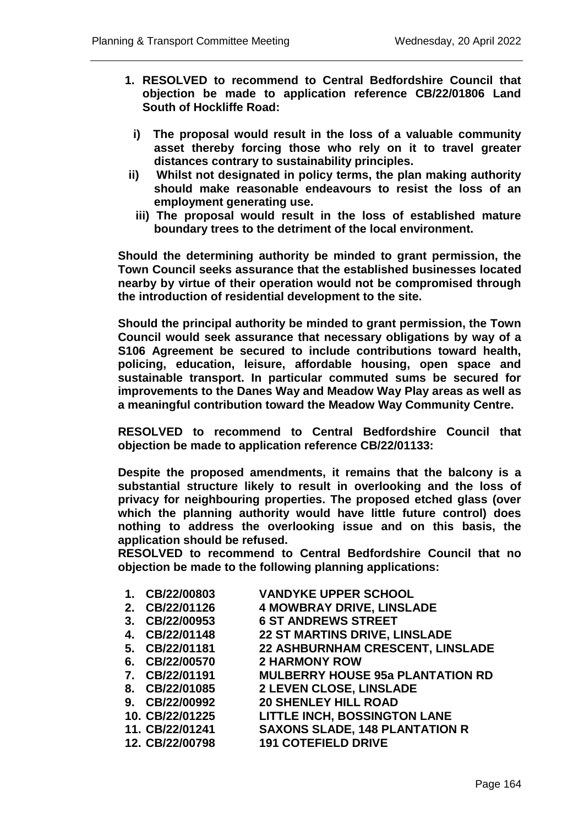- **1. RESOLVED to recommend to Central Bedfordshire Council that objection be made to application reference CB/22/01806 Land South of Hockliffe Road:**
	- **i) The proposal would result in the loss of a valuable community asset thereby forcing those who rely on it to travel greater distances contrary to sustainability principles.**
- **ii) Whilst not designated in policy terms, the plan making authority should make reasonable endeavours to resist the loss of an employment generating use.** 
	- **iii) The proposal would result in the loss of established mature boundary trees to the detriment of the local environment.**

**Should the determining authority be minded to grant permission, the Town Council seeks assurance that the established businesses located nearby by virtue of their operation would not be compromised through the introduction of residential development to the site.** 

**Should the principal authority be minded to grant permission, the Town Council would seek assurance that necessary obligations by way of a S106 Agreement be secured to include contributions toward health, policing, education, leisure, affordable housing, open space and sustainable transport. In particular commuted sums be secured for improvements to the Danes Way and Meadow Way Play areas as well as a meaningful contribution toward the Meadow Way Community Centre.** 

**RESOLVED to recommend to Central Bedfordshire Council that objection be made to application reference CB/22/01133:**

**Despite the proposed amendments, it remains that the balcony is a substantial structure likely to result in overlooking and the loss of privacy for neighbouring properties. The proposed etched glass (over which the planning authority would have little future control) does nothing to address the overlooking issue and on this basis, the application should be refused.** 

**RESOLVED to recommend to Central Bedfordshire Council that no objection be made to the following planning applications:** 

| 1. CB/22/00803  | <b>VANDYKE UPPER SCHOOL</b>             |
|-----------------|-----------------------------------------|
| 2. CB/22/01126  | <b>4 MOWBRAY DRIVE, LINSLADE</b>        |
| 3. CB/22/00953  | <b>6 ST ANDREWS STREET</b>              |
| 4. CB/22/01148  | 22 ST MARTINS DRIVE, LINSLADE           |
| 5. CB/22/01181  | 22 ASHBURNHAM CRESCENT, LINSLADE        |
| 6. CB/22/00570  | <b>2 HARMONY ROW</b>                    |
| 7. CB/22/01191  | <b>MULBERRY HOUSE 95a PLANTATION RD</b> |
| 8. CB/22/01085  | 2 LEVEN CLOSE, LINSLADE                 |
| 9. CB/22/00992  | <b>20 SHENLEY HILL ROAD</b>             |
| 10. CB/22/01225 | <b>LITTLE INCH, BOSSINGTON LANE</b>     |
| 11. CB/22/01241 | <b>SAXONS SLADE, 148 PLANTATION R</b>   |
| 12. CB/22/00798 | <b>191 COTEFIELD DRIVE</b>              |
|                 |                                         |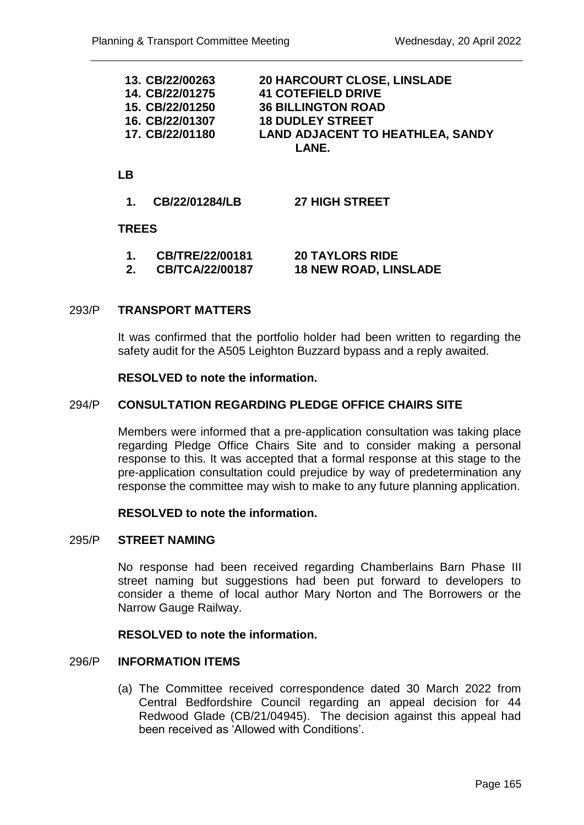| <b>20 HARCOURT CLOSE, LINSLADE</b>      |  |  |
|-----------------------------------------|--|--|
| <b>41 COTEFIELD DRIVE</b>               |  |  |
| <b>36 BILLINGTON ROAD</b>               |  |  |
| <b>18 DUDLEY STREET</b>                 |  |  |
| <b>LAND ADJACENT TO HEATHLEA, SANDY</b> |  |  |
| LANE.                                   |  |  |
|                                         |  |  |

# **LB**

**1. CB/22/01284/LB 27 HIGH STREET**

## **TREES**

| CB/TRE/22/00181        | <b>20 TAYLORS RIDE</b>       |
|------------------------|------------------------------|
| <b>CB/TCA/22/00187</b> | <b>18 NEW ROAD, LINSLADE</b> |

## 293/P **TRANSPORT MATTERS**

It was confirmed that the portfolio holder had been written to regarding the safety audit for the A505 Leighton Buzzard bypass and a reply awaited.

### **RESOLVED to note the information.**

## 294/P **CONSULTATION REGARDING PLEDGE OFFICE CHAIRS SITE**

Members were informed that a pre-application consultation was taking place regarding Pledge Office Chairs Site and to consider making a personal response to this. It was accepted that a formal response at this stage to the pre-application consultation could prejudice by way of predetermination any response the committee may wish to make to any future planning application.

#### **RESOLVED to note the information.**

### 295/P **STREET NAMING**

No response had been received regarding Chamberlains Barn Phase III street naming but suggestions had been put forward to developers to consider a theme of local author Mary Norton and The Borrowers or the Narrow Gauge Railway.

#### **RESOLVED to note the information.**

## 296/P **INFORMATION ITEMS**

(a) The Committee received correspondence dated 30 March 2022 from Central Bedfordshire Council regarding an appeal decision for 44 Redwood Glade (CB/21/04945). The decision against this appeal had been received as 'Allowed with Conditions'.